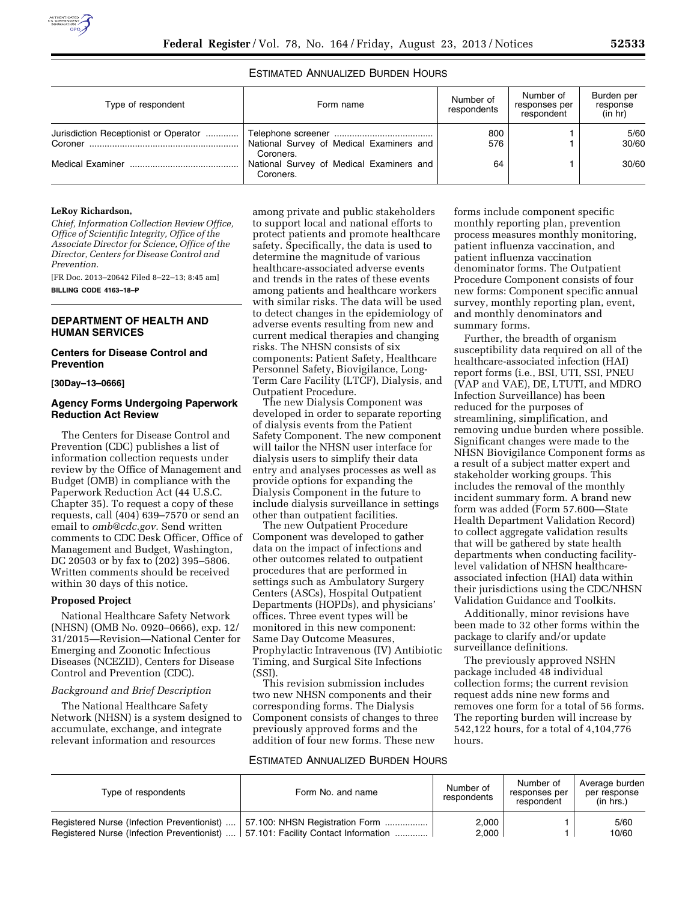# ESTIMATED ANNUALIZED BURDEN HOURS

| Type of respondent                    | Form name                                             | Number of<br>respondents | Number of<br>responses per<br>respondent | Burden per<br>response<br>(in hr) |
|---------------------------------------|-------------------------------------------------------|--------------------------|------------------------------------------|-----------------------------------|
| Jurisdiction Receptionist or Operator | National Survey of Medical Examiners and              | 800<br>576               |                                          | 5/60<br>30/60                     |
|                                       | Coroners.                                             |                          |                                          |                                   |
|                                       | National Survey of Medical Examiners and<br>Coroners. | 64                       |                                          | 30/60                             |

### **LeRoy Richardson,**

*Chief, Information Collection Review Office, Office of Scientific Integrity, Office of the Associate Director for Science, Office of the Director, Centers for Disease Control and Prevention.* 

[FR Doc. 2013–20642 Filed 8–22–13; 8:45 am]

**BILLING CODE 4163–18–P** 

# **DEPARTMENT OF HEALTH AND HUMAN SERVICES**

### **Centers for Disease Control and Prevention**

### **[30Day–13–0666]**

### **Agency Forms Undergoing Paperwork Reduction Act Review**

The Centers for Disease Control and Prevention (CDC) publishes a list of information collection requests under review by the Office of Management and Budget (OMB) in compliance with the Paperwork Reduction Act (44 U.S.C. Chapter 35). To request a copy of these requests, call (404) 639–7570 or send an email to *[omb@cdc.gov.](mailto:omb@cdc.gov)* Send written comments to CDC Desk Officer, Office of Management and Budget, Washington, DC 20503 or by fax to (202) 395–5806. Written comments should be received within 30 days of this notice.

### **Proposed Project**

National Healthcare Safety Network (NHSN) (OMB No. 0920–0666), exp. 12/ 31/2015—Revision—National Center for Emerging and Zoonotic Infectious Diseases (NCEZID), Centers for Disease Control and Prevention (CDC).

### *Background and Brief Description*

The National Healthcare Safety Network (NHSN) is a system designed to accumulate, exchange, and integrate relevant information and resources

among private and public stakeholders to support local and national efforts to protect patients and promote healthcare safety. Specifically, the data is used to determine the magnitude of various healthcare-associated adverse events and trends in the rates of these events among patients and healthcare workers with similar risks. The data will be used to detect changes in the epidemiology of adverse events resulting from new and current medical therapies and changing risks. The NHSN consists of six components: Patient Safety, Healthcare Personnel Safety, Biovigilance, Long-Term Care Facility (LTCF), Dialysis, and Outpatient Procedure.

The new Dialysis Component was developed in order to separate reporting of dialysis events from the Patient Safety Component. The new component will tailor the NHSN user interface for dialysis users to simplify their data entry and analyses processes as well as provide options for expanding the Dialysis Component in the future to include dialysis surveillance in settings other than outpatient facilities.

The new Outpatient Procedure Component was developed to gather data on the impact of infections and other outcomes related to outpatient procedures that are performed in settings such as Ambulatory Surgery Centers (ASCs), Hospital Outpatient Departments (HOPDs), and physicians' offices. Three event types will be monitored in this new component: Same Day Outcome Measures, Prophylactic Intravenous (IV) Antibiotic Timing, and Surgical Site Infections (SSI).

This revision submission includes two new NHSN components and their corresponding forms. The Dialysis Component consists of changes to three previously approved forms and the addition of four new forms. These new

forms include component specific monthly reporting plan, prevention process measures monthly monitoring, patient influenza vaccination, and patient influenza vaccination denominator forms. The Outpatient Procedure Component consists of four new forms: Component specific annual survey, monthly reporting plan, event, and monthly denominators and summary forms.

Further, the breadth of organism susceptibility data required on all of the healthcare-associated infection (HAI) report forms (i.e., BSI, UTI, SSI, PNEU (VAP and VAE), DE, LTUTI, and MDRO Infection Surveillance) has been reduced for the purposes of streamlining, simplification, and removing undue burden where possible. Significant changes were made to the NHSN Biovigilance Component forms as a result of a subject matter expert and stakeholder working groups. This includes the removal of the monthly incident summary form. A brand new form was added (Form 57.600—State Health Department Validation Record) to collect aggregate validation results that will be gathered by state health departments when conducting facilitylevel validation of NHSN healthcareassociated infection (HAI) data within their jurisdictions using the CDC/NHSN Validation Guidance and Toolkits.

Additionally, minor revisions have been made to 32 other forms within the package to clarify and/or update surveillance definitions.

The previously approved NSHN package included 48 individual collection forms; the current revision request adds nine new forms and removes one form for a total of 56 forms. The reporting burden will increase by 542,122 hours, for a total of 4,104,776 hours.

### ESTIMATED ANNUALIZED BURDEN HOURS

| Type of respondents | Form No. and name                                                                                                                                                | Number of<br>respondents | Number of<br>responses per<br>respondent | Average burden<br>per response<br>(in hrs.) |
|---------------------|------------------------------------------------------------------------------------------------------------------------------------------------------------------|--------------------------|------------------------------------------|---------------------------------------------|
|                     | Registered Nurse (Infection Preventionist)  57.100: NHSN Registration Form<br>Registered Nurse (Infection Preventionist)    57.101: Facility Contact Information | 2,000<br>2,000           |                                          | 5/60<br>10/60                               |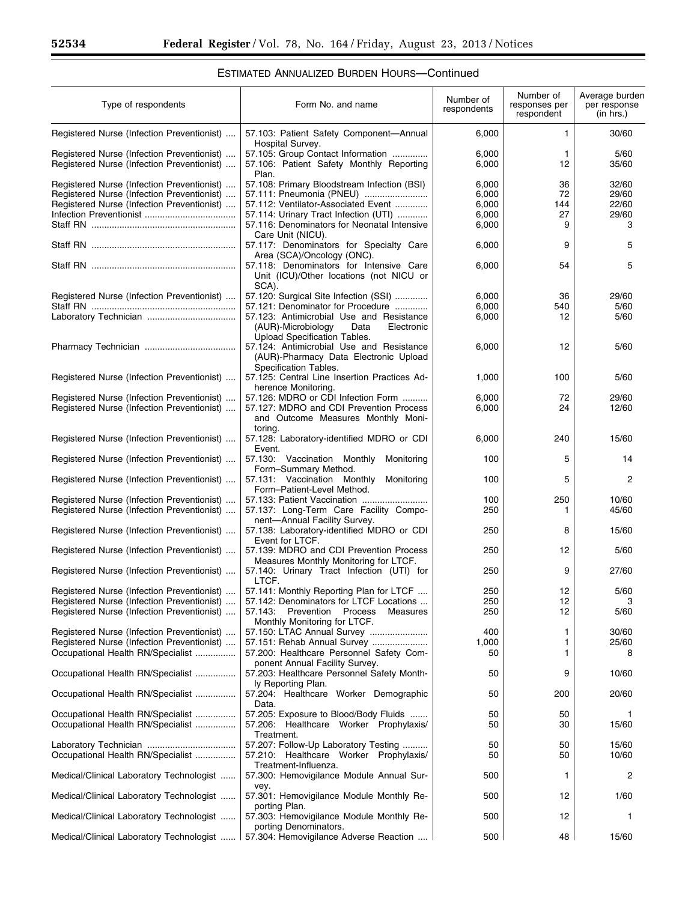$\equiv$ 

# ESTIMATED ANNUALIZED BURDEN HOURS—Continued

| Type of respondents                                                                      | Form No. and name                                                                                                    | Number of<br>respondents | Number of<br>responses per<br>respondent | Average burden<br>per response<br>(in hrs.) |
|------------------------------------------------------------------------------------------|----------------------------------------------------------------------------------------------------------------------|--------------------------|------------------------------------------|---------------------------------------------|
| Registered Nurse (Infection Preventionist)                                               | 57.103: Patient Safety Component-Annual<br>Hospital Survey.                                                          | 6,000                    | 1                                        | 30/60                                       |
| Registered Nurse (Infection Preventionist)<br>Registered Nurse (Infection Preventionist) | 57.105: Group Contact Information<br>57.106: Patient Safety Monthly Reporting<br>Plan.                               | 6,000<br>6,000           | 1<br>12                                  | 5/60<br>35/60                               |
| Registered Nurse (Infection Preventionist)                                               | 57.108: Primary Bloodstream Infection (BSI)                                                                          | 6,000                    | 36                                       | 32/60                                       |
| Registered Nurse (Infection Preventionist)                                               | 57.111: Pneumonia (PNEU)                                                                                             | 6,000                    | 72                                       | 29/60                                       |
| Registered Nurse (Infection Preventionist)                                               | 57.112: Ventilator-Associated Event                                                                                  | 6,000                    | 144<br>27                                | 22/60<br>29/60                              |
|                                                                                          | 57.114: Urinary Tract Infection (UTI)<br>57.116: Denominators for Neonatal Intensive                                 | 6,000<br>6,000           | 9                                        | 3                                           |
|                                                                                          | Care Unit (NICU).                                                                                                    |                          |                                          |                                             |
|                                                                                          | 57.117: Denominators for Specialty Care<br>Area (SCA)/Oncology (ONC).                                                | 6,000                    | 9                                        | 5                                           |
|                                                                                          | 57.118: Denominators for Intensive Care<br>Unit (ICU)/Other locations (not NICU or<br>SCA).                          | 6,000                    | 54                                       | 5                                           |
| Registered Nurse (Infection Preventionist)                                               | 57.120: Surgical Site Infection (SSI)                                                                                | 6,000                    | 36                                       | 29/60                                       |
|                                                                                          | 57.121: Denominator for Procedure                                                                                    | 6,000                    | 540                                      | 5/60                                        |
|                                                                                          | 57.123: Antimicrobial Use and Resistance<br>(AUR)-Microbiology<br>Data<br>Electronic<br>Upload Specification Tables. | 6,000                    | 12                                       | 5/60                                        |
|                                                                                          | 57.124: Antimicrobial Use and Resistance<br>(AUR)-Pharmacy Data Electronic Upload<br>Specification Tables.           | 6,000                    | 12                                       | 5/60                                        |
| Registered Nurse (Infection Preventionist)                                               | 57.125: Central Line Insertion Practices Ad-<br>herence Monitoring.                                                  | 1,000                    | 100                                      | 5/60                                        |
| Registered Nurse (Infection Preventionist)                                               | 57.126: MDRO or CDI Infection Form                                                                                   | 6,000                    | 72                                       | 29/60                                       |
| Registered Nurse (Infection Preventionist)                                               | 57.127: MDRO and CDI Prevention Process<br>and Outcome Measures Monthly Moni-                                        | 6,000                    | 24                                       | 12/60                                       |
| Registered Nurse (Infection Preventionist)                                               | toring.<br>57.128: Laboratory-identified MDRO or CDI                                                                 | 6,000                    | 240                                      | 15/60                                       |
| Registered Nurse (Infection Preventionist)                                               | Event.<br>57.130: Vaccination Monthly<br>Monitoring                                                                  | 100                      | 5                                        | 14                                          |
| Registered Nurse (Infection Preventionist)                                               | Form-Summary Method.<br>57.131: Vaccination Monthly<br>Monitoring<br>Form-Patient-Level Method.                      | 100                      | 5                                        | 2                                           |
| Registered Nurse (Infection Preventionist)                                               | 57.133: Patient Vaccination                                                                                          | 100                      | 250                                      | 10/60                                       |
| Registered Nurse (Infection Preventionist)                                               | 57.137: Long-Term Care Facility Compo-<br>nent-Annual Facility Survey.                                               | 250                      | 1                                        | 45/60                                       |
| Registered Nurse (Infection Preventionist)                                               | 57.138: Laboratory-identified MDRO or CDI<br>Event for LTCF.                                                         | 250                      | 8                                        | 15/60                                       |
| Registered Nurse (Infection Preventionist)                                               | 57.139: MDRO and CDI Prevention Process<br>Measures Monthly Monitoring for LTCF.                                     | 250                      | 12                                       | 5/60                                        |
| Registered Nurse (Infection Preventionist)                                               | 57.140: Urinary Tract Infection (UTI) for<br>LTCF.                                                                   | 250                      | 9                                        | 27/60                                       |
| Registered Nurse (Infection Preventionist)                                               | 57.141: Monthly Reporting Plan for LTCF                                                                              | 250                      | 12                                       | 5/60                                        |
| Registered Nurse (Infection Preventionist)                                               | 57.142: Denominators for LTCF Locations                                                                              | 250                      | 12                                       | 3                                           |
| Registered Nurse (Infection Preventionist)                                               | 57.143: Prevention<br>Process<br>Measures<br>Monthly Monitoring for LTCF.                                            | 250                      | 12                                       | 5/60                                        |
| Registered Nurse (Infection Preventionist)                                               | 57.150: LTAC Annual Survey                                                                                           | 400                      | 1                                        | 30/60                                       |
| Registered Nurse (Infection Preventionist)<br>Occupational Health RN/Specialist          | 57.151: Rehab Annual Survey<br>57.200: Healthcare Personnel Safety Com-                                              | 1,000<br>50              | 1<br>1                                   | 25/60<br>8                                  |
| Occupational Health RN/Specialist                                                        | ponent Annual Facility Survey.<br>57.203: Healthcare Personnel Safety Month-                                         | 50                       | 9                                        | 10/60                                       |
| Occupational Health RN/Specialist                                                        | ly Reporting Plan.<br>57.204: Healthcare Worker Demographic                                                          | 50                       | 200                                      | 20/60                                       |
|                                                                                          | Data.                                                                                                                |                          |                                          |                                             |
| Occupational Health RN/Specialist<br>Occupational Health RN/Specialist                   | 57.205: Exposure to Blood/Body Fluids<br>57.206: Healthcare Worker Prophylaxis/<br>Treatment.                        | 50<br>50                 | 50<br>30                                 | 1<br>15/60                                  |
|                                                                                          | 57.207: Follow-Up Laboratory Testing                                                                                 | 50                       | 50                                       | 15/60                                       |
| Occupational Health RN/Specialist                                                        | 57.210: Healthcare Worker Prophylaxis/<br>Treatment-Influenza.                                                       | 50                       | 50                                       | 10/60                                       |
| Medical/Clinical Laboratory Technologist                                                 | 57.300: Hemovigilance Module Annual Sur-<br>vey.                                                                     | 500                      | 1                                        | 2                                           |
| Medical/Clinical Laboratory Technologist                                                 | 57.301: Hemovigilance Module Monthly Re-<br>porting Plan.                                                            | 500                      | 12                                       | 1/60                                        |
| Medical/Clinical Laboratory Technologist                                                 | 57.303: Hemovigilance Module Monthly Re-<br>porting Denominators.                                                    | 500                      | 12                                       | 1                                           |
| Medical/Clinical Laboratory Technologist    57.304: Hemovigilance Adverse Reaction       |                                                                                                                      | 500                      | 48                                       | 15/60                                       |